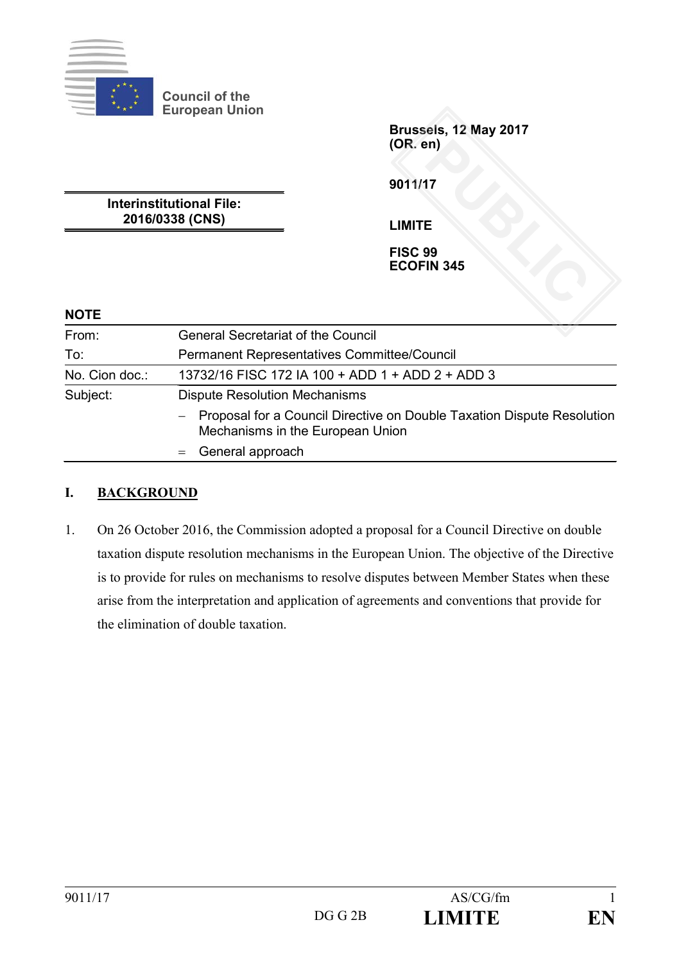

**Council of the European Union**

> **Brussels, 12 May 2017 (OR. en)** PUBLIC<br>**PUBLIC SEE**<br>PUBLIC SEE<br>IN 345

**9011/17**

**Interinstitutional File: 2016/0338 (CNS)**

**LIMITE**

**FISC 99 ECOFIN 345**

| <b>NOTE</b>    |                                                                                                              |
|----------------|--------------------------------------------------------------------------------------------------------------|
| From:          | <b>General Secretariat of the Council</b>                                                                    |
| To:            | Permanent Representatives Committee/Council                                                                  |
| No. Cion doc.: | 13732/16 FISC 172 IA 100 + ADD 1 + ADD 2 + ADD 3                                                             |
| Subject:       | <b>Dispute Resolution Mechanisms</b>                                                                         |
|                | - Proposal for a Council Directive on Double Taxation Dispute Resolution<br>Mechanisms in the European Union |
|                | $=$ General approach                                                                                         |

#### **I. BACKGROUND**

1. On 26 October 2016, the Commission adopted a proposal for a Council Directive on double taxation dispute resolution mechanisms in the European Union. The objective of the Directive is to provide for rules on mechanisms to resolve disputes between Member States when these arise from the interpretation and application of agreements and conventions that provide for the elimination of double taxation.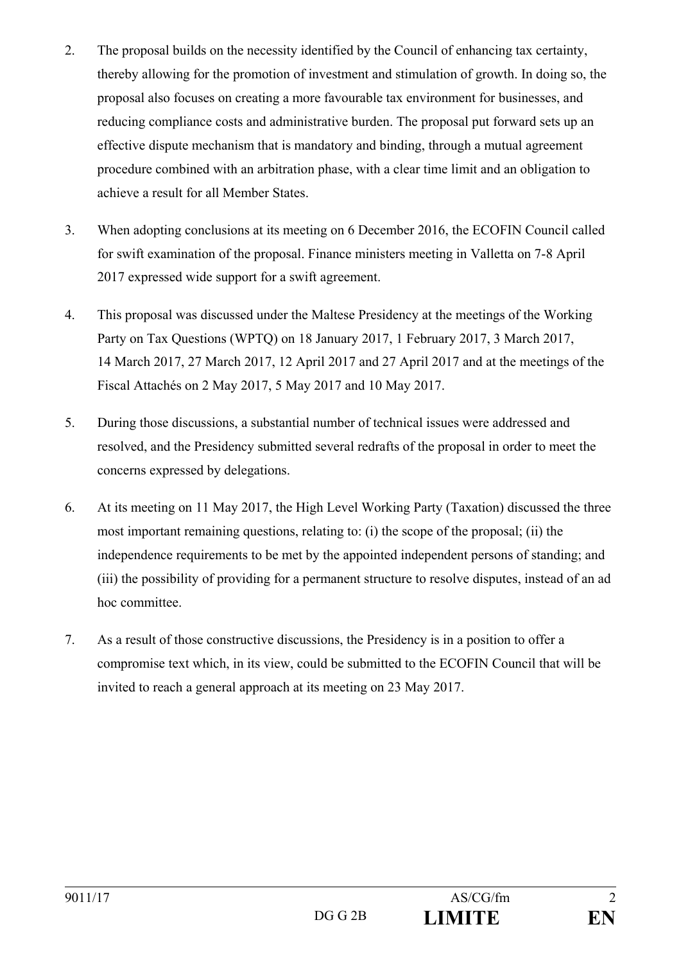- 2. The proposal builds on the necessity identified by the Council of enhancing tax certainty, thereby allowing for the promotion of investment and stimulation of growth. In doing so, the proposal also focuses on creating a more favourable tax environment for businesses, and reducing compliance costs and administrative burden. The proposal put forward sets up an effective dispute mechanism that is mandatory and binding, through a mutual agreement procedure combined with an arbitration phase, with a clear time limit and an obligation to achieve a result for all Member States.
- 3. When adopting conclusions at its meeting on 6 December 2016, the ECOFIN Council called for swift examination of the proposal. Finance ministers meeting in Valletta on 7-8 April 2017 expressed wide support for a swift agreement.
- 4. This proposal was discussed under the Maltese Presidency at the meetings of the Working Party on Tax Questions (WPTQ) on 18 January 2017, 1 February 2017, 3 March 2017, 14 March 2017, 27 March 2017, 12 April 2017 and 27 April 2017 and at the meetings of the Fiscal Attachés on 2 May 2017, 5 May 2017 and 10 May 2017.
- 5. During those discussions, a substantial number of technical issues were addressed and resolved, and the Presidency submitted several redrafts of the proposal in order to meet the concerns expressed by delegations.
- 6. At its meeting on 11 May 2017, the High Level Working Party (Taxation) discussed the three most important remaining questions, relating to: (i) the scope of the proposal; (ii) the independence requirements to be met by the appointed independent persons of standing; and (iii) the possibility of providing for a permanent structure to resolve disputes, instead of an ad hoc committee.
- 7. As a result of those constructive discussions, the Presidency is in a position to offer a compromise text which, in its view, could be submitted to the ECOFIN Council that will be invited to reach a general approach at its meeting on 23 May 2017.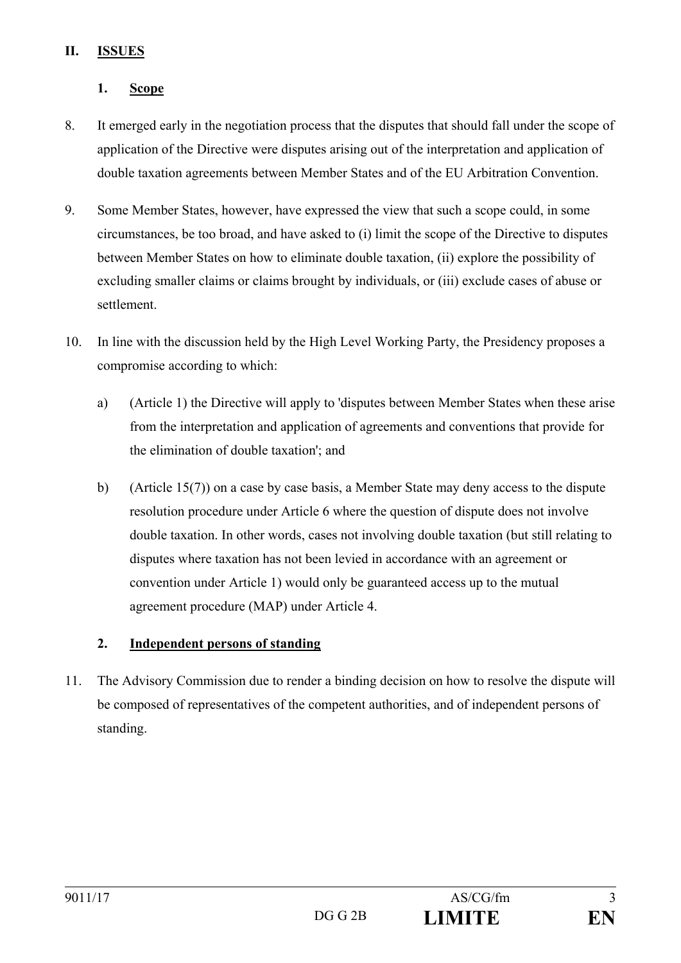### **II. ISSUES**

# **1. Scope**

- 8. It emerged early in the negotiation process that the disputes that should fall under the scope of application of the Directive were disputes arising out of the interpretation and application of double taxation agreements between Member States and of the EU Arbitration Convention.
- 9. Some Member States, however, have expressed the view that such a scope could, in some circumstances, be too broad, and have asked to (i) limit the scope of the Directive to disputes between Member States on how to eliminate double taxation, (ii) explore the possibility of excluding smaller claims or claims brought by individuals, or (iii) exclude cases of abuse or settlement.
- 10. In line with the discussion held by the High Level Working Party, the Presidency proposes a compromise according to which:
	- a) (Article 1) the Directive will apply to 'disputes between Member States when these arise from the interpretation and application of agreements and conventions that provide for the elimination of double taxation'; and
	- b) (Article 15(7)) on a case by case basis, a Member State may deny access to the dispute resolution procedure under Article 6 where the question of dispute does not involve double taxation. In other words, cases not involving double taxation (but still relating to disputes where taxation has not been levied in accordance with an agreement or convention under Article 1) would only be guaranteed access up to the mutual agreement procedure (MAP) under Article 4.

# **2. Independent persons of standing**

11. The Advisory Commission due to render a binding decision on how to resolve the dispute will be composed of representatives of the competent authorities, and of independent persons of standing.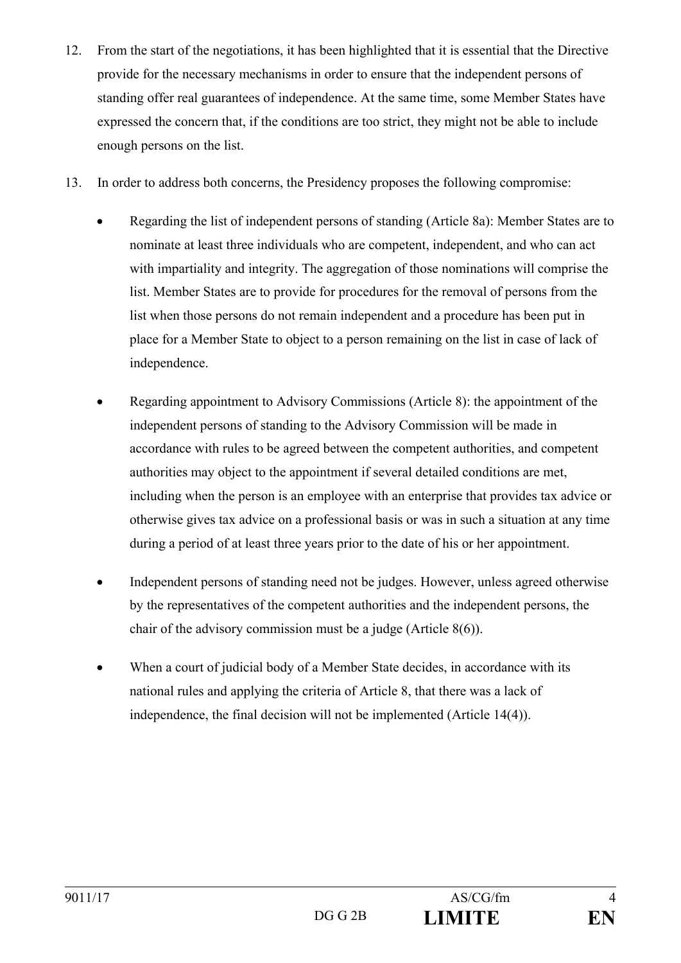- 12. From the start of the negotiations, it has been highlighted that it is essential that the Directive provide for the necessary mechanisms in order to ensure that the independent persons of standing offer real guarantees of independence. At the same time, some Member States have expressed the concern that, if the conditions are too strict, they might not be able to include enough persons on the list.
- 13. In order to address both concerns, the Presidency proposes the following compromise:
	- Regarding the list of independent persons of standing (Article 8a): Member States are to nominate at least three individuals who are competent, independent, and who can act with impartiality and integrity. The aggregation of those nominations will comprise the list. Member States are to provide for procedures for the removal of persons from the list when those persons do not remain independent and a procedure has been put in place for a Member State to object to a person remaining on the list in case of lack of independence.
	- Regarding appointment to Advisory Commissions (Article 8): the appointment of the independent persons of standing to the Advisory Commission will be made in accordance with rules to be agreed between the competent authorities, and competent authorities may object to the appointment if several detailed conditions are met, including when the person is an employee with an enterprise that provides tax advice or otherwise gives tax advice on a professional basis or was in such a situation at any time during a period of at least three years prior to the date of his or her appointment.
	- Independent persons of standing need not be judges. However, unless agreed otherwise by the representatives of the competent authorities and the independent persons, the chair of the advisory commission must be a judge (Article 8(6)).
	- When a court of judicial body of a Member State decides, in accordance with its national rules and applying the criteria of Article 8, that there was a lack of independence, the final decision will not be implemented (Article 14(4)).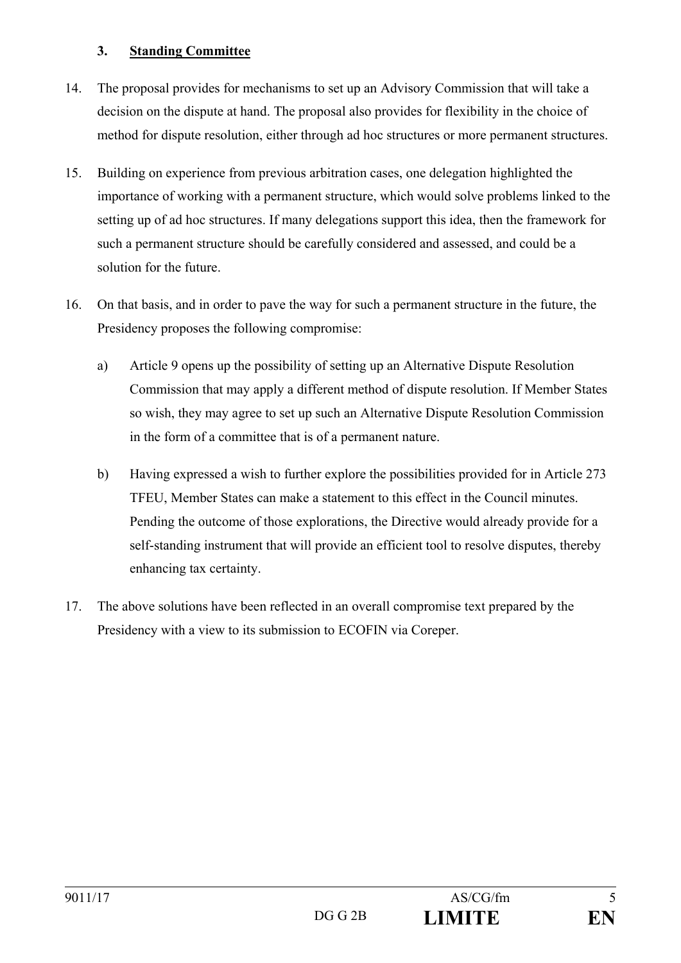### **3. Standing Committee**

- 14. The proposal provides for mechanisms to set up an Advisory Commission that will take a decision on the dispute at hand. The proposal also provides for flexibility in the choice of method for dispute resolution, either through ad hoc structures or more permanent structures.
- 15. Building on experience from previous arbitration cases, one delegation highlighted the importance of working with a permanent structure, which would solve problems linked to the setting up of ad hoc structures. If many delegations support this idea, then the framework for such a permanent structure should be carefully considered and assessed, and could be a solution for the future.
- 16. On that basis, and in order to pave the way for such a permanent structure in the future, the Presidency proposes the following compromise:
	- a) Article 9 opens up the possibility of setting up an Alternative Dispute Resolution Commission that may apply a different method of dispute resolution. If Member States so wish, they may agree to set up such an Alternative Dispute Resolution Commission in the form of a committee that is of a permanent nature.
	- b) Having expressed a wish to further explore the possibilities provided for in Article 273 TFEU, Member States can make a statement to this effect in the Council minutes. Pending the outcome of those explorations, the Directive would already provide for a self-standing instrument that will provide an efficient tool to resolve disputes, thereby enhancing tax certainty.
- 17. The above solutions have been reflected in an overall compromise text prepared by the Presidency with a view to its submission to ECOFIN via Coreper.